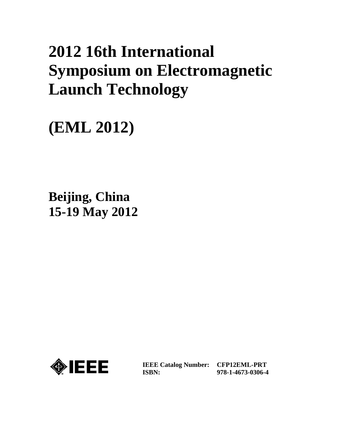# **2012 16th International Symposium on Electromagnetic Launch Technology**

**(EML 2012)**

**Beijing, China 15-19 May 2012**



**IEEE Catalog Number: CFP12EML-PRT ISBN:** 

**978-1-4673-0306-4**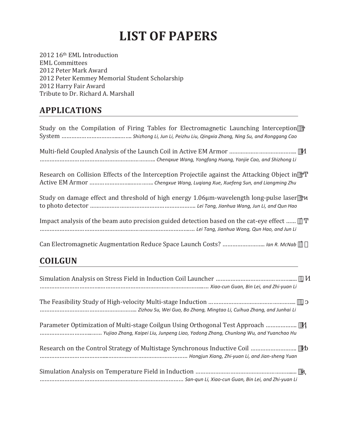# **LIST OF PAPERS**

2012 16th EML Introduction EML Committees 2012 Peter Mark Award 2012 Peter Kemmey Memorial Student Scholarship 2012 Harry Fair Award Tribute to Dr. Richard A. Marshall

## **APPLICATIONS**

| Study on the Compilation of Firing Tables for Electromagnetic Launching Interception           |
|------------------------------------------------------------------------------------------------|
|                                                                                                |
| Research on Collision Effects of the Interception Projectile against the Attacking Object in " |
| Study on damage effect and threshold of high energy 1.06µm-wavelength long-pulse laser"        |
| Impact analysis of the beam auto precision guided detection based on the cat-eye effect  "     |

Can Electromagnetic Augmentation Reduce Space Launch Costs? …………………….. *Ian R. McNab* ʹ

## **COILGUN**

| $\cdot \cdot$                                                                |  |
|------------------------------------------------------------------------------|--|
|                                                                              |  |
| Parameter Optimization of Multi-stage Coilgun Using Orthogonal Test Approach |  |
|                                                                              |  |
| $\ddotsc$                                                                    |  |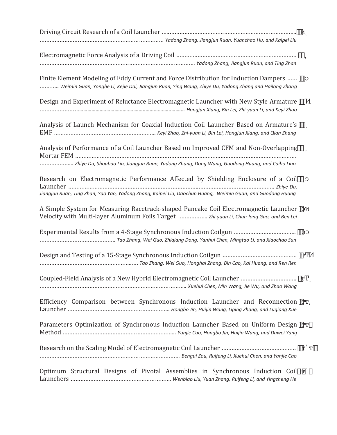| Finite Element Modeling of Eddy Current and Force Distribution for Induction Dampers  "<br>Weimin Guan, Yonghe Li, Kejie Dai, Jiangjun Ruan, Ying Wang, Zhiye Du, Yadong Zhang and Hailong Zhang |
|--------------------------------------------------------------------------------------------------------------------------------------------------------------------------------------------------|
| Design and Experiment of Reluctance Electromagnetic Launcher with New Style Armature "                                                                                                           |
| Analysis of Launch Mechanism for Coaxial Induction Coil Launcher Based on Armature's "                                                                                                           |
| Analysis of Performance of a Coil Launcher Based on Improved CFM and Non-Overlapping<br>Zhiye Du, Shoubao Liu, Jiangjun Ruan, Yadong Zhang, Dong Wang, Guodong Huang, and Caibo Liao             |
| Research on Electromagnetic Performance Affected by Shielding Enclosure of a Coil"<br>Jiangjun Ruan, Ting Zhan, Yao Yao, Yadong Zhang, Kaipei Liu, Daochun Huang, Weimin Guan, and Guodong Huang |
| A Simple System for Measuring Racetrack-shaped Pancake Coil Electromagnetic Launcher "<br>Velocity with Multi-layer Aluminum Foils Target  Zhi-yuan Li, Chun-long Guo, and Ben Lei               |
|                                                                                                                                                                                                  |
|                                                                                                                                                                                                  |
| Coupled-Field Analysis of a New Hybrid Electromagnetic Coil Launcher                                                                                                                             |
| Efficiency Comparison between Synchronous Induction Launcher and Reconnection "                                                                                                                  |
| Parameters Optimization of Synchronous Induction Launcher Based on Uniform Design "                                                                                                              |
|                                                                                                                                                                                                  |
| Optimum Structural Designs of Pivotal Assemblies in Synchronous Induction Coil                                                                                                                   |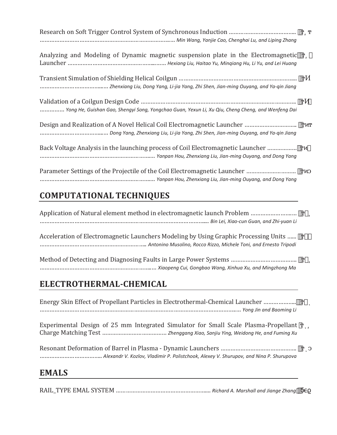Research on Soft Trigger Control System of Synchronous Induction ………………………………………… …………………………………………………………………….… *Min Wang, Yanjie Cao, Chenghai Lu, and Liping Zhang*

Analyzing and Modeling of Dynamic magnetic suspension plate in the Electromagnetic " Launcher ……………………………………………...…… *Hexiang Liu, Haitao Yu, Minqiang Hu, Li Yu, and Lei Huang* 

Transient Simulation of Shielding Helical Coilgun ……………………………………………………………... ͳͶʹ ………………………………...… *Zhenxiang Liu, Dong Yang, Li-jia Yang, Zhi Shen, Jian-ming Ouyang, and Ya-qin Jiang* 

Validation of a Coilgun Design Code …………………………………………………………………………………. ͳͶ …………… *Yong He, Guishan Gao, Shengyi Song, Yongchao Guan, Yexun Li, Xu Qiu, Cheng Cheng, and Wenfeng Dai*

Design and Realization of A Novel Helical Coil Electromagnetic Launcher ……………………………….. ………………………………...… *Dong Yang, Zhenxiang Liu, Li-jia Yang, Zhi Shen, Jian-ming Ouyang, and Ya-qin Jiang*

Back Voltage Analysis in the launching process of Coil Electromagnetic Launcher ……………… ………………………………………………………….… *Yanpan Hou, Zhenxiang Liu, Jian-ming Ouyang, and Dong Yang*

Parameter Settings of the Projectile of the Coil Electromagnetic Launcher ………………………… ͳͷͻ ………………………………………………………….… *Yanpan Hou, Zhenxiang Liu, Jian-ming Ouyang, and Dong Yang*

# **COMPUTATIONAL TECHNIQUES**

Application of Natural element method in electromagnetic launch Problem …………………… ……………………………………………………………………………………….... *Bin Lei, Xiao-cun Guan, and Zhi-yuan Li*

Acceleration of Electromagnetic Launchers Modeling by Using Graphic Processing Units ...... ……………………………………………………….. *Antonino Musolino, Rocco Rizzo, Michele Toni, and Ernesto Tripodi* 

Method of Detecting and Diagnosing Faults in Large Power Systems ……………………………………… …………………………………………………………..… *Xiaopeng Cui, Gongbao Wang, Xinhua Xu, and Mingzhong Ma*

#### **ELECTROTHERMAL-CHEMICAL**

Energy Skin Effect of Propellant Particles in Electrothermal-Chemical Launcher ………………..." ………………………………………………………………………………………………………..… *Yong Jin and Baoming Li*

Experimental Design of 25 mm Integrated Simulator for Small Scale Plasma-Propellant Charge Matching Test ………………………………… *Zhenggang Xiao, Sanjiu Ying, Weidong He, and Fuming Xu* 

Resonant Deformation of Barrel in Plasma - Dynamic Launchers ………………………………………………… ……………………………….. *Alexandr V. Kozlov, Vladimir P. Polistchook, Alexey V. Shurupov, and Nina P. Shurupova*

#### **EMALS**

RAIL\_TYPE EMAL SYSTEM ……………………………………………….... *Richard A. Marshall and Jiange Zhangϭϵϱ*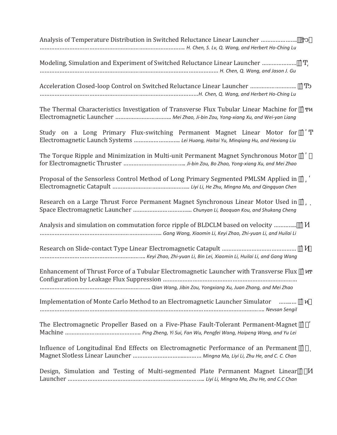| Analysis of Temperature Distribution in Switched Reluctance Linear Launcher                                                                                                   |
|-------------------------------------------------------------------------------------------------------------------------------------------------------------------------------|
| Modeling, Simulation and Experiment of Switched Reluctance Linear Launcher                                                                                                    |
| Acceleration Closed-loop Control on Switched Reluctance Linear Launcher                                                                                                       |
| The Thermal Characteristics Investigation of Transverse Flux Tubular Linear Machine for "<br>Electromagnetic Launcher  Mei Zhao, Ji-bin Zou, Yong-xiang Xu, and Wei-yan Liang |
| Study on a Long Primary Flux-switching Permanent Magnet Linear Motor for "<br>Electromagnetic Launch Systems  Lei Huang, Haitai Yu, Minqiang Hu, and Hexiang Liu              |
| The Torque Ripple and Minimization in Multi-unit Permanent Magnet Synchronous Motor "                                                                                         |
| Proposal of the Sensorless Control Method of Long Primary Segmented PMLSM Applied in "                                                                                        |
| Research on a Large Thrust Force Permanent Magnet Synchronous Linear Motor Used in "                                                                                          |
| Analysis and simulation on commutation force ripple of BLDCLM based on velocity                                                                                               |
|                                                                                                                                                                               |
| Enhancement of Thrust Force of a Tubular Electromagnetic Launcher with Transverse Flux "                                                                                      |
| Implementation of Monte Carlo Method to an Electromagnetic Launcher Simulator                                                                                                 |
| The Electromagnetic Propeller Based on a Five-Phase Fault-Tolerant Permanent-Magnet "                                                                                         |
| Influence of Longitudinal End Effects on Electromagnetic Performance of an Permanent "                                                                                        |
| Design, Simulation and Testing of Multi-segmented Plate Permanent Magnet Linear"                                                                                              |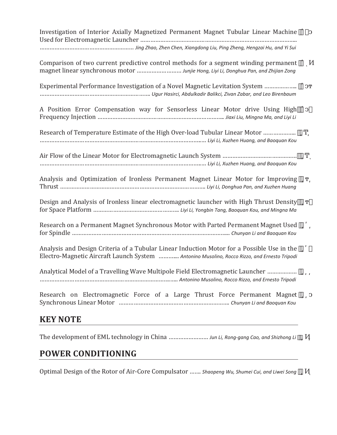Investigation of Interior Axially Magnetized Permanent Magnet Tubular Linear Machine <sup>*o*</sup> Used for Electromagnetic Launcher ………………………………………………………………………………….. ………………………………………………… *Jing Zhao, Zhen Chen, Xiangdong Liu, Ping Zheng, Hengzai Hu, and Yi Sui*

Comparison of two current predictive control methods for a segment winding permanent " magnet linear synchronous motor ……………………… *Junjie Hong, Liyi Li, Donghua Pan, and Zhijian Zong*

Experimental Performance Investigation of a Novel Magnetic Levitation System ………………... …………………………………………………………. *Ugur Hasirci, Abdulkadir Balikci, Zivan Zabar, and Leo Birenbaum* 

A Position Error Compensation way for Sensorless Linear Motor drive Using High<sup>"</sup> Frequency Injection ………………………………………………………………….. *Jiaxi Liu, Mingna Ma, and Liyi Li* 

Research of Temperature Estimate of the High Over-load Tubular Linear Motor ………………... ……………………………………………………………………………………..… *Liyi Li, Xuzhen Huang, and Baoquan Kou*

Air Flow of the Linear Motor for Electromagnetic Launch System ………………………………………͵Ͳͺ ……………………………………………………………………………………..… *Liyi Li, Xuzhen Huang, and Baoquan Kou* 

Analysis and Optimization of Ironless Permanent Magnet Linear Motor for Improving " Thrust ……………………………………………………………………………. *Liyi Li, Donghua Pan, and Xuzhen Huang* 

Design and Analysis of Ironless linear electromagnetic launcher with High Thrust Density<sup>"</sup> for Space Platform ……………………………………………. *Liyi Li, Yongbin Tang, Baoquan Kou, and Mingna Ma*

Research on a Permanent Magnet Synchronous Motor with Parted Permanent Magnet Used  $\degree$ for Spindle …………………………………………………………………………………... *Chunyan Li and Baoquan Kou*

Analysis and Design Criteria of a Tubular Linear Induction Motor for a Possible Use in the " Electro-Magnetic Aircraft Launch System ……….... *Antonino Musolino, Rocco Rizzo, and Ernesto Tripodi*

Analytical Model of a Travelling Wave Multipole Field Electromagnetic Launcher ………………………………………………………………………………… …………………………………………………………………….….. *Antonino Musolino, Rocco Rizzo, and Ernesto Tripodi*

Research on Electromagnetic Force of a Large Thrust Force Permanent Magnet  $\ddot{\,}$ Synchronous Linear Motor …………………………………………………………. *Chunyan Li and Baoquan Kou* 

#### **KEY NOTE**

The development of EML technology in China ........................*Jun Li, Rong-gang Cao, and Shizhong Li*<sup>1</sup>

#### **POWER CONDITIONING**

Optimal Design of the Rotor of Air-Core Compulsator ....... *Shaopeng Wu, Shumei Cui, and Liwei Song* "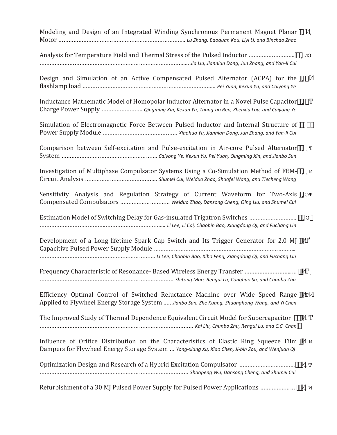| Modeling and Design of an Integrated Winding Synchronous Permanent Magnet Planar "                                                                                                          |
|---------------------------------------------------------------------------------------------------------------------------------------------------------------------------------------------|
|                                                                                                                                                                                             |
| Design and Simulation of an Active Compensated Pulsed Alternator (ACPA) for the "                                                                                                           |
| Inductance Mathematic Model of Homopolar Inductor Alternator in a Novel Pulse Capacitor<br>Charge Power Supply  Qingming Xin, Kexun Yu, Zhang-ao Ren, Zhenxiu Lou, and Caiyong Ye           |
| Simulation of Electromagnetic Force Between Pulsed Inductor and Internal Structure of "                                                                                                     |
| Comparison between Self-excitation and Pulse-excitation in Air-core Pulsed Alternator                                                                                                       |
| Investigation of Multiphase Compulsator Systems Using a Co-Simulation Method of FEM-"                                                                                                       |
| Sensitivity Analysis and Regulation Strategy of Current Waveform for Two-Axis "<br>Compensated Compulsators  Weiduo Zhao, Dansong Cheng, Qing Liu, and Shumei Cui                           |
| Estimation Model of Switching Delay for Gas-insulated Trigatron Switches                                                                                                                    |
| Development of a Long-lifetime Spark Gap Switch and Its Trigger Generator for 2.0 MJ "                                                                                                      |
|                                                                                                                                                                                             |
| Frequency Characteristic of Resonance- Based Wireless Energy Transfer                                                                                                                       |
| Efficiency Optimal Control of Switched Reluctance Machine over Wide Speed Range "<br>Applied to Flywheel Energy Storage System  Jianbo Sun, Zhe Kuang, Shuanghong Wang, and Yi Chen         |
| The Improved Study of Thermal Dependence Equivalent Circuit Model for Supercapacitor                                                                                                        |
| Influence of Orifice Distribution on the Characteristics of Elastic Ring Squeeze Film "<br>Dampers for Flywheel Energy Storage System  Yong-xiang Xu, Xiao Chen, Ji-bin Zou, and Wenjuan Qi |
|                                                                                                                                                                                             |
| Refurbishment of a 30 MJ Pulsed Power Supply for Pulsed Power Applications                                                                                                                  |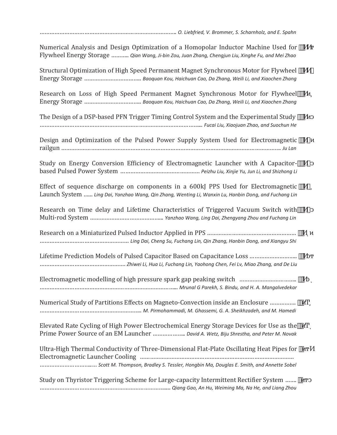Numerical Analysis and Design Optimization of a Homopolar Inductor Machine Used for " Flywheel Energy Storage ……….. *Qian Wang, Ji-bin Zou, Juan Zhang, Chengjun Liu, Xinghe Fu, and Mei Zhao* 

Structural Optimization of High Speed Permanent Magnet Synchronous Motor for Flywheel " Energy Storage …………………………….. *Baoquan Kou, Haichuan Cao, Da Zhang, Weili Li, and Xiaochen Zhang* 

Research on Loss of High Speed Permanent Magnet Synchronous Motor for Flywheel<sup>""</sup> Energy Storage …………………………….. *Baoquan Kou, Haichuan Cao, Da Zhang, Weili Li, and Xiaochen Zhang* 

The Design of a DSP-based PFN Trigger Timing Control System and the Experimental Study "" ……………………………………………………………………………………... *Fucai Liu, Xiaojuan Zhao, and Suochun He* 

Design and Optimization of the Pulsed Power Supply System Used for Electromagnetic " railgun ……………………………………………………………………………………………………………………. *Ju Lan* 

Study on Energy Conversion Efficiency of Electromagnetic Launcher with A Capacitor-<sup>""</sup> based Pulsed Power System ………………………………………… *Peizhu Liu, Xinjie Yu, Jun Li, and Shizhong Li* 

Effect of sequence discharge on components in a 600kJ PPS Used for Electromagnetic " Launch System …... *Ling Dai, Yanzhao Wang, Qin Zhang, Wenting Li, Wanxin Lu, Hanbin Dong, and Fuchang Lin* 

Research on Time delay and Lifetime Characteristics of Triggered Vacuum Switch with "" Multi-rod System ……………………………………... *Yanzhao Wang, Ling Dai, Zhengyang Zhou and Fuchang Lin* 

Research on a Miniaturized Pulsed Inductor Applied in PPS ……………………………………………… Ͷͺͷ ……………………………………………… *Ling Dai, Cheng Su, Fuchang Lin, Qin Zhang, Hanbin Dong, and Xiangyu Shi* 

Lifetime Prediction Models of Pulsed Capacitor Based on Capacitance Loss ……………………….. Ͷͻͳ ……………………………………………. *Zhiwei Li, Hua Li, Fuchang Lin, Yaohong Chen, Fei Lv, Miao Zhang, and De Liu* 

Electromagnetic modelling of high pressure spark gap peaking switch …………………………….. Ͷͻͺ ………………………………………………………………………... *Mrunal G Parekh, S. Bindu, and H. A. Mangalvedekar* 

Numerical Study of Partitions Effects on Magneto-Convection inside an Enclosure …………….. "" …………………………………………………….. *M. Pirmohammadi, M. Ghassemi, G. A. Sheikhzadeh, and M. Hamedi* 

Elevated Rate Cycling of High Power Electrochemical Energy Storage Devices for Use as the " Prime Power Source of an EM Launcher ……………….. *David A. Wetz, Biju Shrestha, and Peter M. Novak* 

Ultra-High Thermal Conductivity of Three-Dimensional Flat-Plate Oscillating Heat Pipes for " Electromagnetic Launcher Cooling ………………………………………………………………………………… …………………………..… *Scott M. Thompson, Bradley S. Tessler, Hongbin Ma, Douglas E. Smith, and Annette Sobel* 

Study on Thyristor Triggering Scheme for Large-capacity Intermittent Rectifier System ……. " …………………………………………………………………..... *Qiang Gao, An Hu, Weiming Ma, Na He, and Liang Zhou*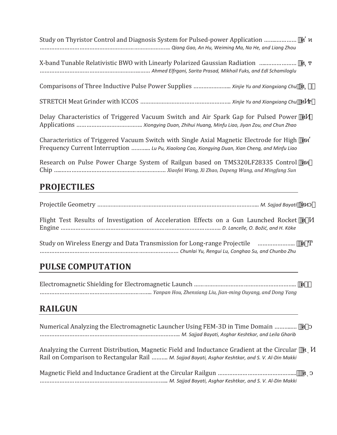Study on Thyristor Control and Diagnosis System for Pulsed-power Application ……………… ……………………………………………………………………. *Qiang Gao, An Hu, Weiming Ma, Na He, and Liang Zhou*

X-band Tunable Relativistic BWO with Linearly Polarized Gaussian Radiation …....................... …………………………………………………….…… *Ahmed Elfrgani, Sarita Prasad, Mikhail Fuks, and Edl Schamiloglu*

Comparisons of Three Inductive Pulse Power Supplies ........................ *Xinjie Yu and Xiangxiang Chu*<sup>11</sup>

STRETCH Meat Grinder with ICCOS …………………………………………………… *Xinjie Yu and Xiangxiang Chu*<sup>111</sup>

Delay Characteristics of Triggered Vacuum Switch and Air Spark Gap for Pulsed Power " Applications …………………………………. *Xiongying Duan, Zhihui Huang, Minfu Liao, Jiyan Zou, and Chun Zhao* 

Characteristics of Triggered Vacuum Switch with Single Axial Magnetic Electrode for High " Frequency Current Interruption ………... *Lu Pu, Xiaolong Cao, Xiongying Duan, Xian Cheng, and Minfu Liao* 

Research on Pulse Power Charge System of Railgun based on TMS320LF28335 Control " Chip …..……………………………………………………… *Xiaofei Wang, Xi Zhao, Dapeng Wang, and Mingfang Sun*

#### **PROJECTILES**

Projectile Geometry …………………………………………………………………………………… *M. Sajjad Bayati*<sup>17</sup>

Flight Test Results of Investigation of Acceleration Effects on a Gun Launched Rocket " Engine ……………………………………………………………………………………. *D. Lancelle, O. Božić, and H. Köke* 

Study on Wireless Energy and Data Transmission for Long-range Projectile …………………. ………………………………………………………………………… *Chunlai Yu, Rengui Lu, Conghao Su, and Chunbo Zhu* 

# **PULSE COMPUTATION**

Electromagnetic Shielding for Electromagnetic Launch ………………………………………………………………………… ………………………………………………………….. *Yanpan Hou, Zhenxiang Liu, Jian-ming Ouyang, and Dong Yang* 

#### **RAILGUN**

Numerical Analyzing the Electromagnetic Launcher Using FEM-3D in Time Domain ………….... …………………………………………………………………………. *M. Sajjad Bayati, Asghar Keshtkar, and Leila Gharib*

Analyzing the Current Distribution, Magnetic Field and Inductance Gradient at the Circular  $\ddot{\,}$ Rail on Comparison to Rectangular Rail ………. *M. Sajjad Bayati, Asghar Keshtkar, and S. V. Al-Din Makki* 

Magnetic Field and Inductance Gradient at the Circular Railgun ……………………………………………… …………………………………………………………………... *M. Sajjad Bayati, Asghar Keshtkar, and S. V. Al-Din Makki*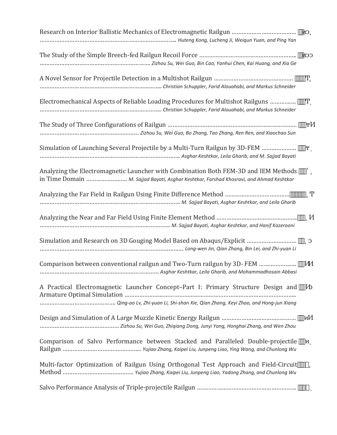| Electromechanical Aspects of Reliable Loading Procedures for Multishot Railguns                                                                                                  |
|----------------------------------------------------------------------------------------------------------------------------------------------------------------------------------|
|                                                                                                                                                                                  |
| Simulation of Launching Several Projectile by a Multi-Turn Railgun by 3D-FEM                                                                                                     |
| Analyzing the Electromagnetic Launcher with Combination Both FEM-3D and IEM Methods "<br>in Time Domain  M. Sajjad Bayati, Asghar Keshtkar, Farshad Khosravi, and Ahmad Keshtkar |
|                                                                                                                                                                                  |
|                                                                                                                                                                                  |
| Simulation and Research on 3D Gouging Model Based on Abaqus/Explicit                                                                                                             |
| Comparison between conventional railgun and Two-Turn railgun by 3D-FEM                                                                                                           |
| A Practical Electromagnetic Launcher Concept-Part I: Primary Structure Design and "                                                                                              |
|                                                                                                                                                                                  |
|                                                                                                                                                                                  |
| Comparison of Salvo Performance between Stacked and Paralleled Double-projectile "                                                                                               |
| Multi-factor Optimization of Railgun Using Orthogonal Test Approach and Field-Circuit                                                                                            |
|                                                                                                                                                                                  |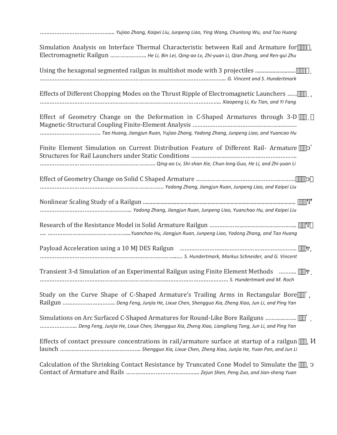| Simulation Analysis on Interface Thermal Characteristic between Rail and Armature for ""<br>Electromagnetic Railgun  He Li, Bin Lei, Qing-ao Lv, Zhi-yuan Li, Qian Zhang, and Ren-gui Zhu |
|-------------------------------------------------------------------------------------------------------------------------------------------------------------------------------------------|
| Using the hexagonal segmented railgun in multishot mode with 3 projectiles                                                                                                                |
|                                                                                                                                                                                           |
| Effects of Different Chopping Modes on the Thrust Ripple of Electromagnetic Launchers                                                                                                     |
| Effect of Geometry Change on the Deformation in C-Shaped Armatures through 3-D "                                                                                                          |
| Tao Huang, Jiangjun Ruan, Yujiao Zhang, Yadong Zhang, Junpeng Liao, and Yuancao Hu                                                                                                        |
| Finite Element Simulation on Current Distribution Feature of Different Rail- Armature "                                                                                                   |
|                                                                                                                                                                                           |
|                                                                                                                                                                                           |
|                                                                                                                                                                                           |
|                                                                                                                                                                                           |
|                                                                                                                                                                                           |
| Transient 3-d Simulation of an Experimental Railgun using Finite Element Methods                                                                                                          |
| Study on the Curve Shape of C-Shaped Armature's Trailing Arms in Rectangular Bore<br>Railgun  Deng Feng, Junjia He, Lixue Chen, Shengguo Xia, Zheng Xiao, Jun Li, and Ping Yan            |
| Simulations on Arc Surfaced C-Shaped Armatures for Round-Like Bore Railguns<br>Deng Feng, Junjia He, Lixue Chen, Shengguo Xia, Zheng Xiao, Liangliang Tang, Jun Li, and Ping Yan          |
| Effects of contact pressure concentrations in rail/armature surface at startup of a railgun "                                                                                             |
| Calculation of the Shrinking Contact Resistance by Truncated Cone Model to Simulate the "                                                                                                 |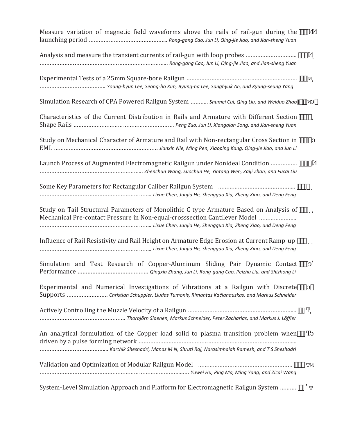| Measure variation of magnetic field waveforms above the rails of rail-gun during the                                                                                             |
|----------------------------------------------------------------------------------------------------------------------------------------------------------------------------------|
|                                                                                                                                                                                  |
|                                                                                                                                                                                  |
| Simulation Research of CPA Powered Railgun System  Shumei Cui, Qing Liu, and Weiduo Zhao ""                                                                                      |
| Characteristics of the Current Distribution in Rails and Armature with Different Section                                                                                         |
| Study on Mechanical Character of Armature and Rail with Non-rectangular Cross Section in                                                                                         |
| Launch Process of Augmented Electromagnetic Railgun under Nonideal Condition                                                                                                     |
|                                                                                                                                                                                  |
| Study on Tail Structural Parameters of Monolithic C-type Armature Based on Analysis of<br>Mechanical Pre-contact Pressure in Non-equal-crosssection Cantilever Model             |
|                                                                                                                                                                                  |
| Influence of Rail Resistivity and Rail Height on Armature Edge Erosion at Current Ramp-up                                                                                        |
| Simulation and Test Research of Copper-Aluminum Sliding Pair Dynamic Contact<br>Performance.                                                                                     |
| Experimental and Numerical Investigations of Vibrations at a Railgun with Discrete<br>Supports  Christian Schuppler, Liudas Tumonis, Rimantas Kačianauskas, and Markus Schneider |
|                                                                                                                                                                                  |
| An analytical formulation of the Copper load solid to plasma transition problem when"                                                                                            |
|                                                                                                                                                                                  |
| System-Level Simulation Approach and Platform for Electromagnetic Railgun System  "                                                                                              |